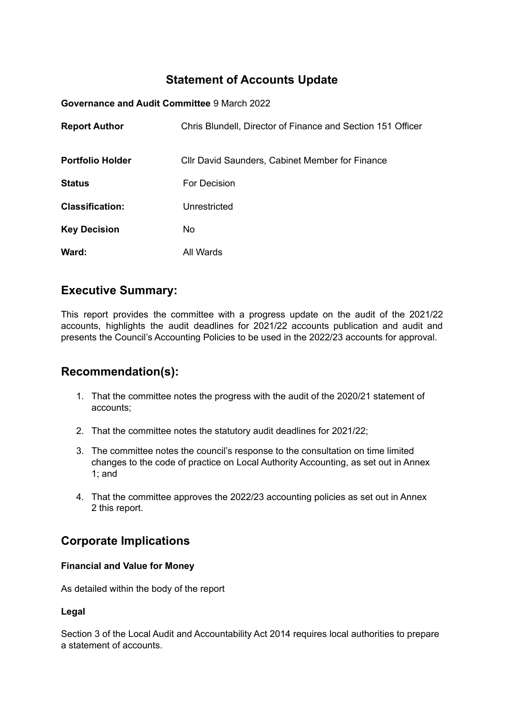## **Statement of Accounts Update**

**Governance and Audit Committee** 9 March 2022

| <b>Report Author</b>    | Chris Blundell, Director of Finance and Section 151 Officer |
|-------------------------|-------------------------------------------------------------|
| <b>Portfolio Holder</b> | <b>CIIr David Saunders, Cabinet Member for Finance</b>      |
| <b>Status</b>           | For Decision                                                |
| <b>Classification:</b>  | Unrestricted                                                |
| <b>Key Decision</b>     | No.                                                         |
| Ward:                   | All Wards                                                   |

## **Executive Summary:**

This report provides the committee with a progress update on the audit of the 2021/22 accounts, highlights the audit deadlines for 2021/22 accounts publication and audit and presents the Council's Accounting Policies to be used in the 2022/23 accounts for approval.

## **Recommendation(s):**

- 1. That the committee notes the progress with the audit of the 2020/21 statement of accounts;
- 2. That the committee notes the statutory audit deadlines for 2021/22;
- 3. The committee notes the council's response to the consultation on time limited changes to the code of practice on Local Authority Accounting, as set out in Annex 1; and
- 4. That the committee approves the 2022/23 accounting policies as set out in Annex 2 this report.

## **Corporate Implications**

### **Financial and Value for Money**

As detailed within the body of the report

### **Legal**

Section 3 of the Local Audit and Accountability Act 2014 requires local authorities to prepare a statement of accounts.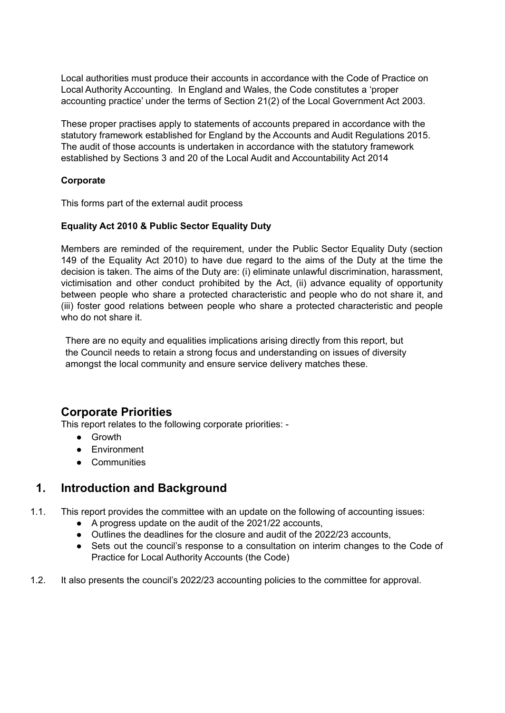Local authorities must produce their accounts in accordance with the Code of Practice on Local Authority Accounting. In England and Wales, the Code constitutes a 'proper accounting practice' under the terms of Section 21(2) of the Local Government Act 2003.

These proper practises apply to statements of accounts prepared in accordance with the statutory framework established for England by the Accounts and Audit Regulations 2015. The audit of those accounts is undertaken in accordance with the statutory framework established by Sections 3 and 20 of the Local Audit and Accountability Act 2014

### **Corporate**

This forms part of the external audit process

### **Equality Act 2010 & Public Sector Equality Duty**

Members are reminded of the requirement, under the Public Sector Equality Duty (section 149 of the Equality Act 2010) to have due regard to the aims of the Duty at the time the decision is taken. The aims of the Duty are: (i) eliminate unlawful discrimination, harassment, victimisation and other conduct prohibited by the Act, (ii) advance equality of opportunity between people who share a protected characteristic and people who do not share it, and (iii) foster good relations between people who share a protected characteristic and people who do not share it.

There are no equity and equalities implications arising directly from this report, but the Council needs to retain a strong focus and understanding on issues of diversity amongst the local community and ensure service delivery matches these.

## **Corporate Priorities**

This report relates to the following corporate priorities: -

- Growth
- Environment
- Communities

## **1. Introduction and Background**

- 1.1. This report provides the committee with an update on the following of accounting issues:
	- A progress update on the audit of the 2021/22 accounts,
	- Outlines the deadlines for the closure and audit of the 2022/23 accounts,
	- Sets out the council's response to a consultation on interim changes to the Code of Practice for Local Authority Accounts (the Code)
- 1.2. It also presents the council's 2022/23 accounting policies to the committee for approval.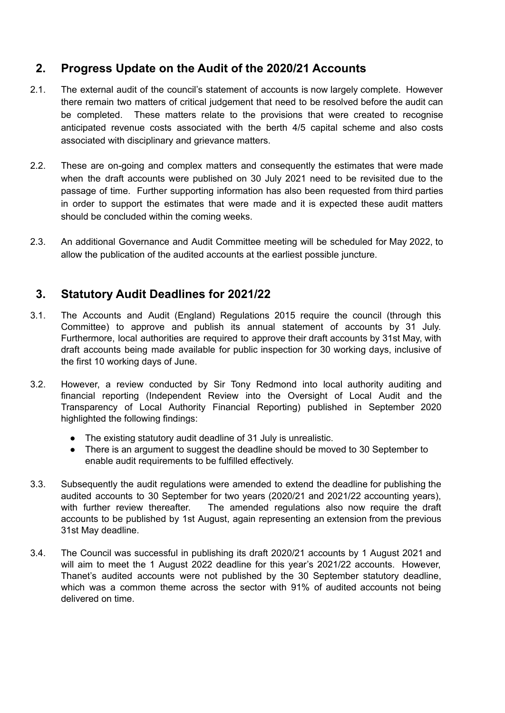# **2. Progress Update on the Audit of the 2020/21 Accounts**

- 2.1. The external audit of the council's statement of accounts is now largely complete. However there remain two matters of critical judgement that need to be resolved before the audit can be completed. These matters relate to the provisions that were created to recognise anticipated revenue costs associated with the berth 4/5 capital scheme and also costs associated with disciplinary and grievance matters.
- 2.2. These are on-going and complex matters and consequently the estimates that were made when the draft accounts were published on 30 July 2021 need to be revisited due to the passage of time. Further supporting information has also been requested from third parties in order to support the estimates that were made and it is expected these audit matters should be concluded within the coming weeks.
- 2.3. An additional Governance and Audit Committee meeting will be scheduled for May 2022, to allow the publication of the audited accounts at the earliest possible juncture.

## **3. Statutory Audit Deadlines for 2021/22**

- 3.1. The Accounts and Audit (England) Regulations 2015 require the council (through this Committee) to approve and publish its annual statement of accounts by 31 July. Furthermore, local authorities are required to approve their draft accounts by 31st May, with draft accounts being made available for public inspection for 30 working days, inclusive of the first 10 working days of June.
- 3.2. However, a review conducted by Sir Tony Redmond into local authority auditing and financial reporting (Independent Review into the Oversight of Local Audit and the Transparency of Local Authority Financial Reporting) published in September 2020 highlighted the following findings:
	- The existing statutory audit deadline of 31 July is unrealistic.
	- There is an argument to suggest the deadline should be moved to 30 September to enable audit requirements to be fulfilled effectively.
- 3.3. Subsequently the audit regulations were amended to extend the deadline for publishing the audited accounts to 30 September for two years (2020/21 and 2021/22 accounting years), with further review thereafter. The amended regulations also now reguire the draft accounts to be published by 1st August, again representing an extension from the previous 31st May deadline.
- 3.4. The Council was successful in publishing its draft 2020/21 accounts by 1 August 2021 and will aim to meet the 1 August 2022 deadline for this year's 2021/22 accounts. However, Thanet's audited accounts were not published by the 30 September statutory deadline, which was a common theme across the sector with 91% of audited accounts not being delivered on time.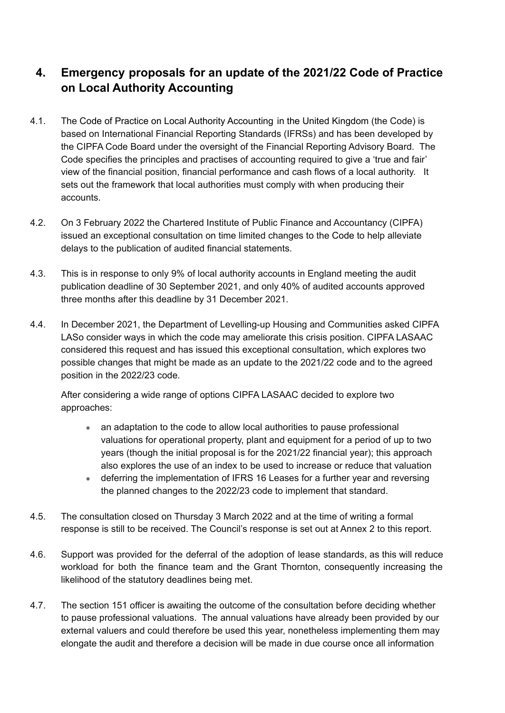# **4. Emergency proposals for an update of the 2021/22 Code of Practice on Local Authority Accounting**

- 4.1. The Code of Practice on Local Authority Accounting in the United Kingdom (the Code) is based on International Financial Reporting Standards (IFRSs) and has been developed by the CIPFA Code Board under the oversight of the Financial Reporting Advisory Board. The Code specifies the principles and practises of accounting required to give a 'true and fair' view of the financial position, financial performance and cash flows of a local authority. It sets out the framework that local authorities must comply with when producing their accounts.
- 4.2. On 3 February 2022 the Chartered Institute of Public Finance and Accountancy (CIPFA) issued an exceptional consultation on time limited changes to the Code to help alleviate delays to the publication of audited financial statements.
- 4.3. This is in response to only 9% of local authority accounts in England meeting the audit publication deadline of 30 September 2021, and only 40% of audited accounts approved three months after this deadline by 31 December 2021.
- 4.4. In December 2021, the Department of Levelling-up Housing and Communities asked CIPFA LASo consider ways in which the code may ameliorate this crisis position. CIPFA LASAAC considered this request and has issued this exceptional consultation, which explores two possible changes that might be made as an update to the 2021/22 code and to the agreed position in the 2022/23 code.

After considering a wide range of options CIPFA LASAAC decided to explore two approaches:

- an adaptation to the code to allow local authorities to pause professional valuations for operational property, plant and equipment for a period of up to two years (though the initial proposal is for the 2021/22 financial year); this approach also explores the use of an index to be used to increase or reduce that valuation
- deferring the implementation of IFRS 16 Leases for a further year and reversing the planned changes to the 2022/23 code to implement that standard.
- 4.5. The consultation closed on Thursday 3 March 2022 and at the time of writing a formal response is still to be received. The Council's response is set out at Annex 2 to this report.
- 4.6. Support was provided for the deferral of the adoption of lease standards, as this will reduce workload for both the finance team and the Grant Thornton, consequently increasing the likelihood of the statutory deadlines being met.
- 4.7. The section 151 officer is awaiting the outcome of the consultation before deciding whether to pause professional valuations. The annual valuations have already been provided by our external valuers and could therefore be used this year, nonetheless implementing them may elongate the audit and therefore a decision will be made in due course once all information